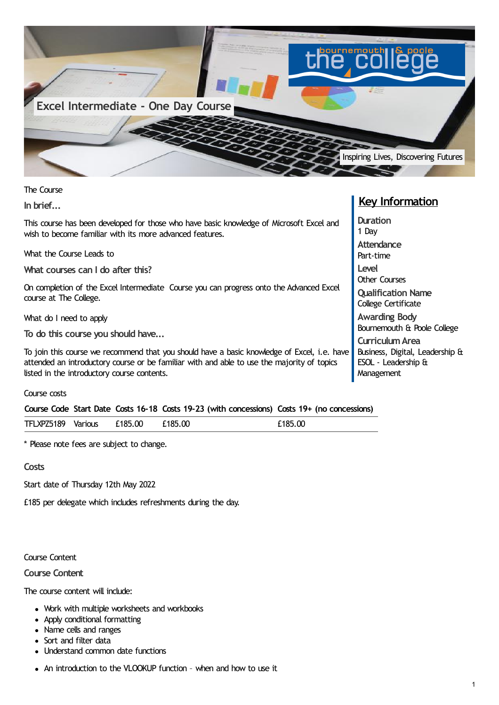

The Course

**In brief...**

This course has been developed for those who have basic knowledge of Microsoft Excel and wish to become familiar with its more advanced features.

What the Course Leads to

**What courses can I do after this?**

On completion of the Excel Intermediate Course you can progress onto the Advanced Excel course at The College.

What do I need to apply

**To do this course you should have...**

To join this course we recommend that you should have a basic knowledge of Excel, i.e. have attended an introductory course or be familiar with and able to use the majority of topics listed in the introductory course contents.

Course costs

|  |  |  |  | Course Code Start Date Costs 16-18 Costs 19-23 (with concessions) Costs 19+ (no concessions) |  |  |
|--|--|--|--|----------------------------------------------------------------------------------------------|--|--|
|--|--|--|--|----------------------------------------------------------------------------------------------|--|--|

| £185.00<br>TFLXPZ5189<br>£185.00<br>£185.00<br>Various |  |
|--------------------------------------------------------|--|
|--------------------------------------------------------|--|

\* Please note fees are subject to change.

**Costs**

Start date of Thursday 12th May 2022

£185 per delegate which includes refreshments during the day.

Course Content

**Course Content**

The course content will include:

- Work with multiple worksheets and workbooks
- Apply conditional formatting
- Name cells and ranges
- Sort and filter data
- Understand common date functions
- An introduction to the VLOOKUP function when and how to use it

## **Key Information**

**Duration** 1 Day **Attendance** Part-time **Level** Other Courses **Qualification Name** College Certificate **Awarding Body** Bournemouth & Poole College **CurriculumArea** Business, Digital, Leadership & ESOL - Leadership & **Management**